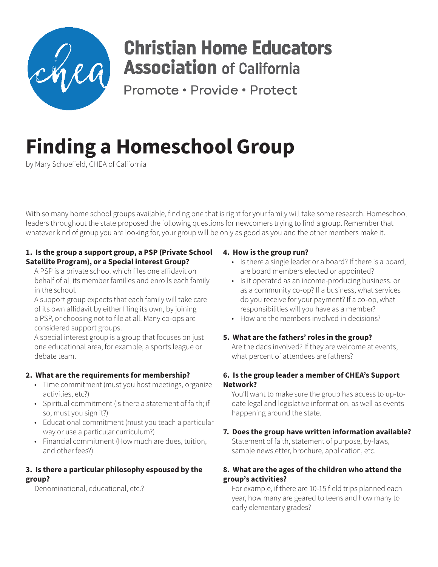

# **Christian Home Educators Association** of California

Promote · Provide · Protect

# **Finding a Homeschool Group**

by Mary Schoefield, CHEA of California

With so many home school groups available, finding one that is right for your family will take some research. Homeschool leaders throughout the state proposed the following questions for newcomers trying to find a group. Remember that whatever kind of group you are looking for, your group will be only as good as you and the other members make it.

## **1. Is the group a support group, a PSP (Private School Satellite Program), or a Special interest Group?**

A PSP is a private school which files one affidavit on behalf of all its member families and enrolls each family in the school.

A support group expects that each family will take care of its own affidavit by either filing its own, by joining a PSP, or choosing not to file at all. Many co-ops are considered support groups.

A special interest group is a group that focuses on just one educational area, for example, a sports league or debate team.

# **2. What are the requirements for membership?**

- Time commitment (must you host meetings, organize activities, etc?)
- Spiritual commitment (is there a statement of faith; if so, must you sign it?)
- Educational commitment (must you teach a particular way or use a particular curriculum?)
- Financial commitment (How much are dues, tuition, and other fees?)

#### **3. Is there a particular philosophy espoused by the group?**

Denominational, educational, etc.?

# **4. How is the group run?**

- Is there a single leader or a board? If there is a board, are board members elected or appointed?
- Is it operated as an income-producing business, or as a community co-op? If a business, what services do you receive for your payment? If a co-op, what responsibilities will you have as a member?
- How are the members involved in decisions?
- **5. What are the fathers' roles in the group?**

Are the dads involved? If they are welcome at events, what percent of attendees are fathers?

### **6. Is the group leader a member of CHEA's Support Network?**

You'll want to make sure the group has access to up-todate legal and legislative information, as well as events happening around the state.

#### **7. Does the group have written information available?** Statement of faith, statement of purpose, by-laws, sample newsletter, brochure, application, etc.

# **8. What are the ages of the children who attend the group's activities?**

For example, if there are 10-15 field trips planned each year, how many are geared to teens and how many to early elementary grades?